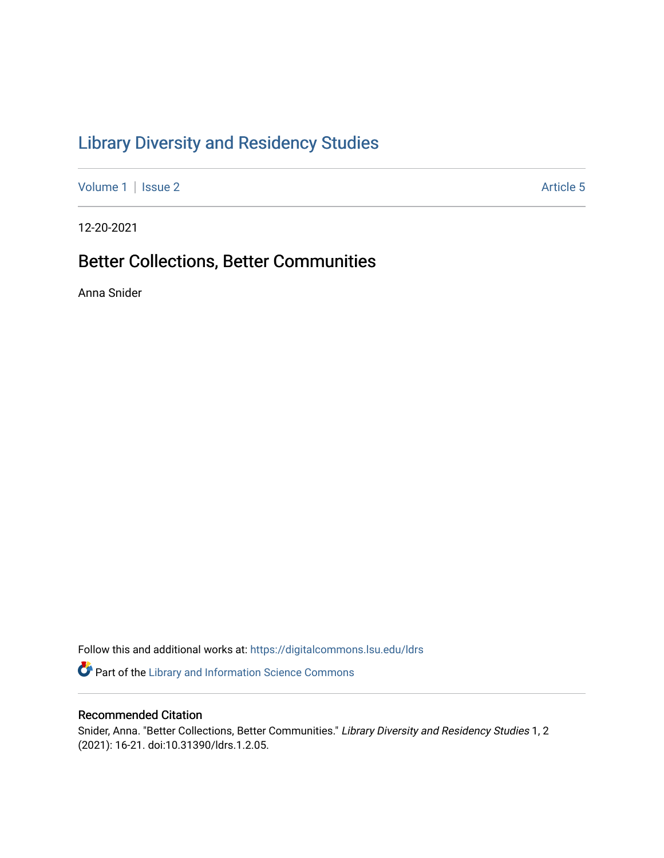# [Library Diversity and Residency Studies](https://digitalcommons.lsu.edu/ldrs)

[Volume 1](https://digitalcommons.lsu.edu/ldrs/vol1) | [Issue 2](https://digitalcommons.lsu.edu/ldrs/vol1/iss2) Article 5

12-20-2021

# Better Collections, Better Communities

Anna Snider

Follow this and additional works at: [https://digitalcommons.lsu.edu/ldrs](https://digitalcommons.lsu.edu/ldrs?utm_source=digitalcommons.lsu.edu%2Fldrs%2Fvol1%2Fiss2%2F5&utm_medium=PDF&utm_campaign=PDFCoverPages) 

**P** Part of the Library and Information Science Commons

## Recommended Citation

Snider, Anna. "Better Collections, Better Communities." Library Diversity and Residency Studies 1, 2 (2021): 16-21. doi:10.31390/ldrs.1.2.05.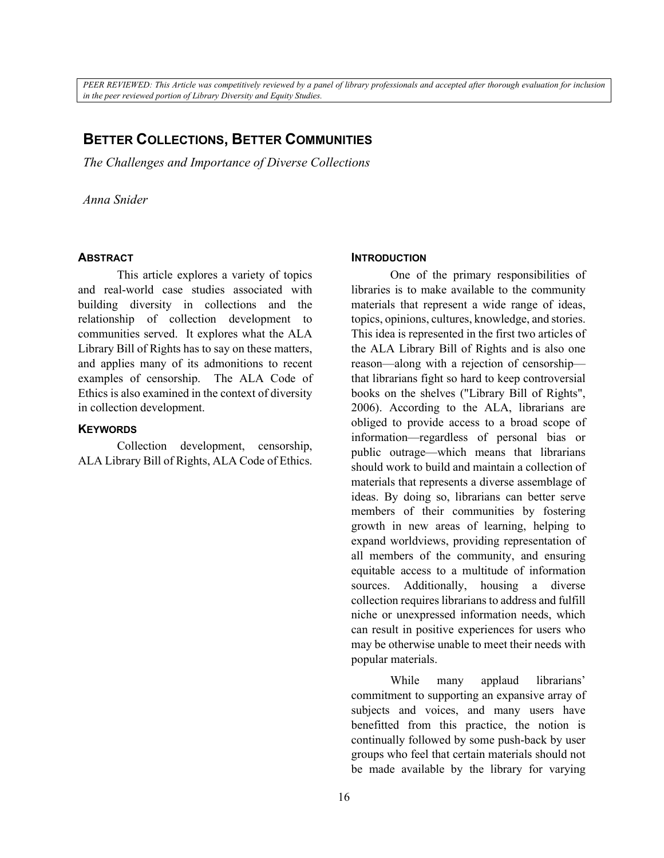*PEER REVIEWED: This Article was competitively reviewed by a panel of library professionals and accepted after thorough evaluation for inclusion in the peer reviewed portion of Library Diversity and Equity Studies.*

# **BETTER COLLECTIONS, BETTER COMMUNITIES**

*The Challenges and Importance of Diverse Collections*

*Anna Snider*

### **ABSTRACT**

This article explores a variety of topics and real-world case studies associated with building diversity in collections and the relationship of collection development to communities served. It explores what the ALA Library Bill of Rights has to say on these matters, and applies many of its admonitions to recent examples of censorship. The ALA Code of Ethics is also examined in the context of diversity in collection development.

#### **KEYWORDS**

Collection development, censorship, ALA Library Bill of Rights, ALA Code of Ethics.

#### **INTRODUCTION**

One of the primary responsibilities of libraries is to make available to the community materials that represent a wide range of ideas, topics, opinions, cultures, knowledge, and stories. This idea is represented in the first two articles of the ALA Library Bill of Rights and is also one reason—along with a rejection of censorship that librarians fight so hard to keep controversial books on the shelves ("Library Bill of Rights", 2006). According to the ALA, librarians are obliged to provide access to a broad scope of information—regardless of personal bias or public outrage—which means that librarians should work to build and maintain a collection of materials that represents a diverse assemblage of ideas. By doing so, librarians can better serve members of their communities by fostering growth in new areas of learning, helping to expand worldviews, providing representation of all members of the community, and ensuring equitable access to a multitude of information sources. Additionally, housing a diverse collection requires librarians to address and fulfill niche or unexpressed information needs, which can result in positive experiences for users who may be otherwise unable to meet their needs with popular materials.

While many applaud librarians' commitment to supporting an expansive array of subjects and voices, and many users have benefitted from this practice, the notion is continually followed by some push-back by user groups who feel that certain materials should not be made available by the library for varying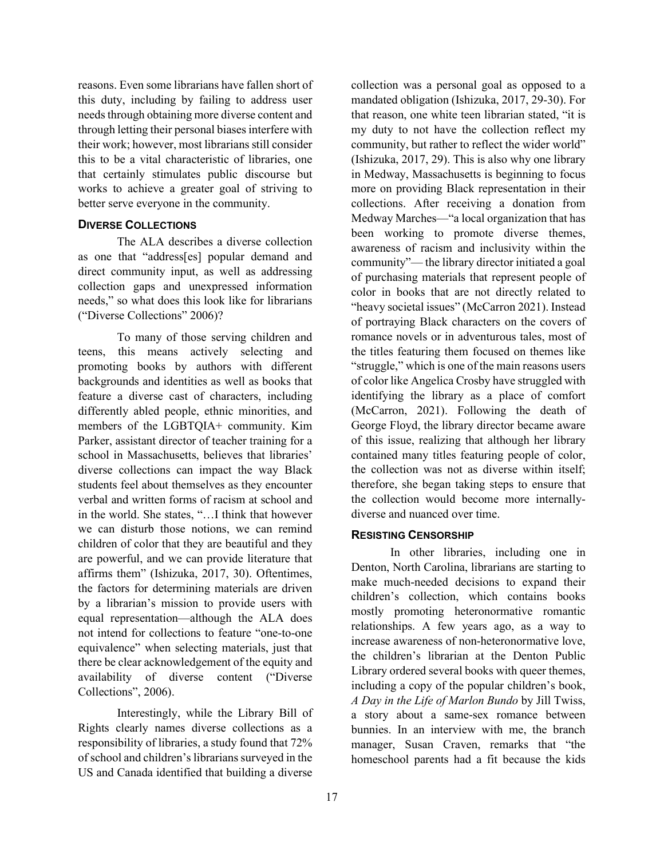reasons. Even some librarians have fallen short of this duty, including by failing to address user needs through obtaining more diverse content and through letting their personal biases interfere with their work; however, most librarians still consider this to be a vital characteristic of libraries, one that certainly stimulates public discourse but works to achieve a greater goal of striving to better serve everyone in the community.

## **DIVERSE COLLECTIONS**

The ALA describes a diverse collection as one that "address[es] popular demand and direct community input, as well as addressing collection gaps and unexpressed information needs," so what does this look like for librarians ("Diverse Collections" 2006)?

To many of those serving children and teens, this means actively selecting and promoting books by authors with different backgrounds and identities as well as books that feature a diverse cast of characters, including differently abled people, ethnic minorities, and members of the LGBTQIA+ community. Kim Parker, assistant director of teacher training for a school in Massachusetts, believes that libraries' diverse collections can impact the way Black students feel about themselves as they encounter verbal and written forms of racism at school and in the world. She states, "…I think that however we can disturb those notions, we can remind children of color that they are beautiful and they are powerful, and we can provide literature that affirms them" (Ishizuka, 2017, 30). Oftentimes, the factors for determining materials are driven by a librarian's mission to provide users with equal representation—although the ALA does not intend for collections to feature "one-to-one equivalence" when selecting materials, just that there be clear acknowledgement of the equity and availability of diverse content ("Diverse Collections", 2006).

Interestingly, while the Library Bill of Rights clearly names diverse collections as a responsibility of libraries, a study found that 72% of school and children's librarians surveyed in the US and Canada identified that building a diverse

collection was a personal goal as opposed to a mandated obligation (Ishizuka, 2017, 29-30). For that reason, one white teen librarian stated, "it is my duty to not have the collection reflect my community, but rather to reflect the wider world" (Ishizuka, 2017, 29). This is also why one library in Medway, Massachusetts is beginning to focus more on providing Black representation in their collections. After receiving a donation from Medway Marches—"a local organization that has been working to promote diverse themes, awareness of racism and inclusivity within the community"— the library director initiated a goal of purchasing materials that represent people of color in books that are not directly related to "heavy societal issues" (McCarron 2021). Instead of portraying Black characters on the covers of romance novels or in adventurous tales, most of the titles featuring them focused on themes like "struggle," which is one of the main reasons users of color like Angelica Crosby have struggled with identifying the library as a place of comfort (McCarron, 2021). Following the death of George Floyd, the library director became aware of this issue, realizing that although her library contained many titles featuring people of color, the collection was not as diverse within itself; therefore, she began taking steps to ensure that the collection would become more internallydiverse and nuanced over time.

# **RESISTING CENSORSHIP**

In other libraries, including one in Denton, North Carolina, librarians are starting to make much-needed decisions to expand their children's collection, which contains books mostly promoting heteronormative romantic relationships. A few years ago, as a way to increase awareness of non-heteronormative love, the children's librarian at the Denton Public Library ordered several books with queer themes, including a copy of the popular children's book, *A Day in the Life of Marlon Bundo* by Jill Twiss, a story about a same-sex romance between bunnies. In an interview with me, the branch manager, Susan Craven, remarks that "the homeschool parents had a fit because the kids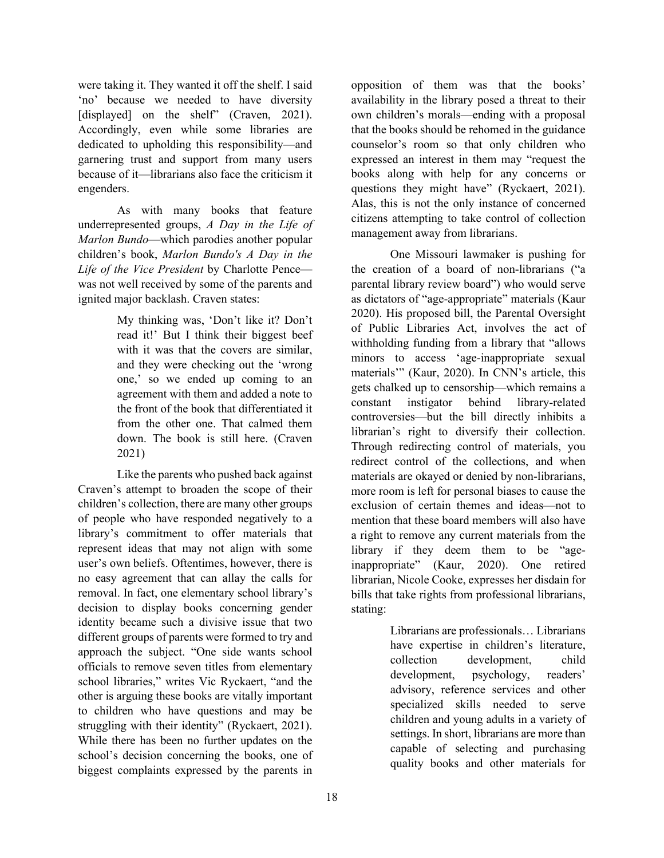were taking it. They wanted it off the shelf. I said 'no' because we needed to have diversity [displayed] on the shelf" (Craven, 2021). Accordingly, even while some libraries are dedicated to upholding this responsibility—and garnering trust and support from many users because of it—librarians also face the criticism it engenders.

As with many books that feature underrepresented groups, *A Day in the Life of Marlon Bundo*—which parodies another popular children's book, *Marlon Bundo's A Day in the Life of the Vice President* by Charlotte Pence was not well received by some of the parents and ignited major backlash. Craven states:

> My thinking was, 'Don't like it? Don't read it!' But I think their biggest beef with it was that the covers are similar, and they were checking out the 'wrong one,' so we ended up coming to an agreement with them and added a note to the front of the book that differentiated it from the other one. That calmed them down. The book is still here. (Craven 2021)

Like the parents who pushed back against Craven's attempt to broaden the scope of their children's collection, there are many other groups of people who have responded negatively to a library's commitment to offer materials that represent ideas that may not align with some user's own beliefs. Oftentimes, however, there is no easy agreement that can allay the calls for removal. In fact, one elementary school library's decision to display books concerning gender identity became such a divisive issue that two different groups of parents were formed to try and approach the subject. "One side wants school officials to remove seven titles from elementary school libraries," writes Vic Ryckaert, "and the other is arguing these books are vitally important to children who have questions and may be struggling with their identity" (Ryckaert, 2021). While there has been no further updates on the school's decision concerning the books, one of biggest complaints expressed by the parents in

opposition of them was that the books' availability in the library posed a threat to their own children's morals—ending with a proposal that the books should be rehomed in the guidance counselor's room so that only children who expressed an interest in them may "request the books along with help for any concerns or questions they might have" (Ryckaert, 2021). Alas, this is not the only instance of concerned citizens attempting to take control of collection management away from librarians.

One Missouri lawmaker is pushing for the creation of a board of non-librarians ("a parental library review board") who would serve as dictators of "age-appropriate" materials (Kaur 2020). His proposed bill, the Parental Oversight of Public Libraries Act, involves the act of withholding funding from a library that "allows minors to access 'age-inappropriate sexual materials'" (Kaur, 2020). In CNN's article, this gets chalked up to censorship—which remains a constant instigator behind library-related controversies—but the bill directly inhibits a librarian's right to diversify their collection. Through redirecting control of materials, you redirect control of the collections, and when materials are okayed or denied by non-librarians, more room is left for personal biases to cause the exclusion of certain themes and ideas—not to mention that these board members will also have a right to remove any current materials from the library if they deem them to be "ageinappropriate" (Kaur, 2020). One retired librarian, Nicole Cooke, expresses her disdain for bills that take rights from professional librarians, stating:

> Librarians are professionals… Librarians have expertise in children's literature, collection development, child development, psychology, readers' advisory, reference services and other specialized skills needed to serve children and young adults in a variety of settings. In short, librarians are more than capable of selecting and purchasing quality books and other materials for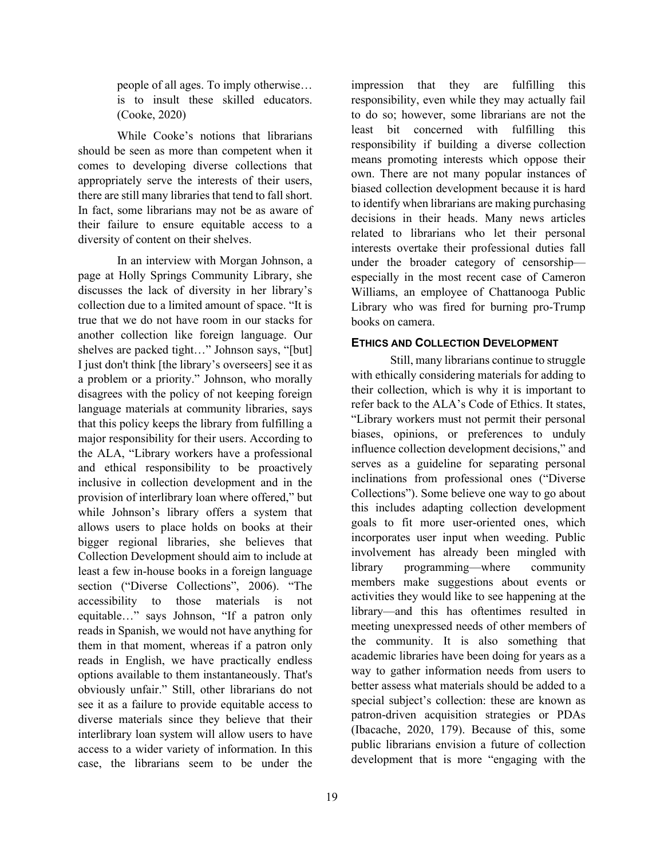people of all ages. To imply otherwise… is to insult these skilled educators. (Cooke, 2020)

While Cooke's notions that librarians should be seen as more than competent when it comes to developing diverse collections that appropriately serve the interests of their users, there are still many libraries that tend to fall short. In fact, some librarians may not be as aware of their failure to ensure equitable access to a diversity of content on their shelves.

In an interview with Morgan Johnson, a page at Holly Springs Community Library, she discusses the lack of diversity in her library's collection due to a limited amount of space. "It is true that we do not have room in our stacks for another collection like foreign language. Our shelves are packed tight…" Johnson says, "[but] I just don't think [the library's overseers] see it as a problem or a priority." Johnson, who morally disagrees with the policy of not keeping foreign language materials at community libraries, says that this policy keeps the library from fulfilling a major responsibility for their users. According to the ALA, "Library workers have a professional and ethical responsibility to be proactively inclusive in collection development and in the provision of interlibrary loan where offered," but while Johnson's library offers a system that allows users to place holds on books at their bigger regional libraries, she believes that Collection Development should aim to include at least a few in-house books in a foreign language section ("Diverse Collections", 2006). "The accessibility to those materials is not equitable…" says Johnson, "If a patron only reads in Spanish, we would not have anything for them in that moment, whereas if a patron only reads in English, we have practically endless options available to them instantaneously. That's obviously unfair." Still, other librarians do not see it as a failure to provide equitable access to diverse materials since they believe that their interlibrary loan system will allow users to have access to a wider variety of information. In this case, the librarians seem to be under the

19

impression that they are fulfilling this responsibility, even while they may actually fail to do so; however, some librarians are not the least bit concerned with fulfilling this responsibility if building a diverse collection means promoting interests which oppose their own. There are not many popular instances of biased collection development because it is hard to identify when librarians are making purchasing decisions in their heads. Many news articles related to librarians who let their personal interests overtake their professional duties fall under the broader category of censorship especially in the most recent case of Cameron Williams, an employee of Chattanooga Public Library who was fired for burning pro-Trump books on camera.

## **ETHICS AND COLLECTION DEVELOPMENT**

Still, many librarians continue to struggle with ethically considering materials for adding to their collection, which is why it is important to refer back to the ALA's Code of Ethics. It states, "Library workers must not permit their personal biases, opinions, or preferences to unduly influence collection development decisions," and serves as a guideline for separating personal inclinations from professional ones ("Diverse Collections"). Some believe one way to go about this includes adapting collection development goals to fit more user-oriented ones, which incorporates user input when weeding. Public involvement has already been mingled with library programming—where community members make suggestions about events or activities they would like to see happening at the library—and this has oftentimes resulted in meeting unexpressed needs of other members of the community. It is also something that academic libraries have been doing for years as a way to gather information needs from users to better assess what materials should be added to a special subject's collection: these are known as patron-driven acquisition strategies or PDAs (Ibacache, 2020, 179). Because of this, some public librarians envision a future of collection development that is more "engaging with the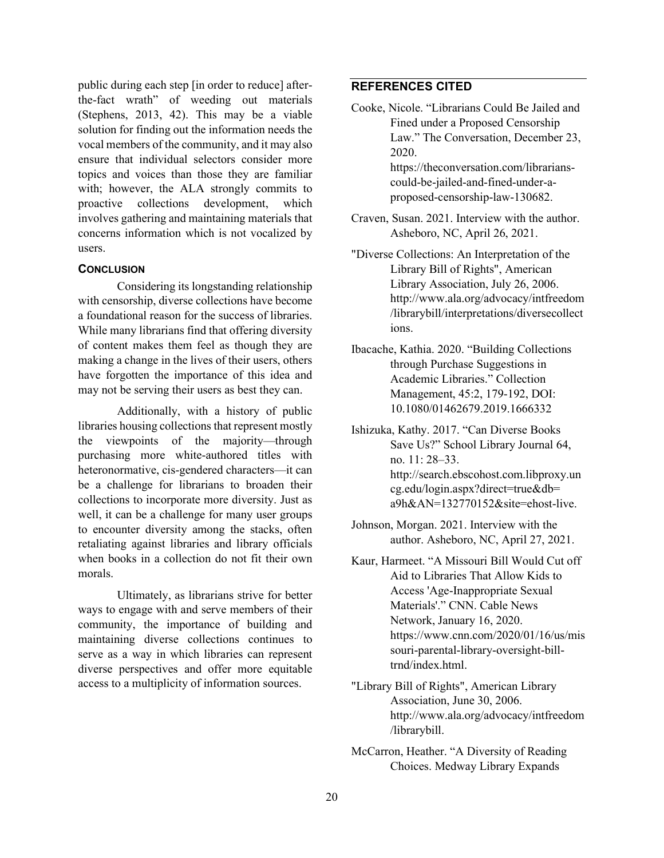public during each step [in order to reduce] afterthe-fact wrath" of weeding out materials (Stephens, 2013, 42). This may be a viable solution for finding out the information needs the vocal members of the community, and it may also ensure that individual selectors consider more topics and voices than those they are familiar with; however, the ALA strongly commits to proactive collections development, which involves gathering and maintaining materials that concerns information which is not vocalized by users.

### **CONCLUSION**

Considering its longstanding relationship with censorship, diverse collections have become a foundational reason for the success of libraries. While many librarians find that offering diversity of content makes them feel as though they are making a change in the lives of their users, others have forgotten the importance of this idea and may not be serving their users as best they can.

Additionally, with a history of public libraries housing collections that represent mostly the viewpoints of the majority—through purchasing more white-authored titles with heteronormative, cis-gendered characters—it can be a challenge for librarians to broaden their collections to incorporate more diversity. Just as well, it can be a challenge for many user groups to encounter diversity among the stacks, often retaliating against libraries and library officials when books in a collection do not fit their own morals.

Ultimately, as librarians strive for better ways to engage with and serve members of their community, the importance of building and maintaining diverse collections continues to serve as a way in which libraries can represent diverse perspectives and offer more equitable access to a multiplicity of information sources.

## **REFERENCES CITED**

- Cooke, Nicole. "Librarians Could Be Jailed and Fined under a Proposed Censorship Law." The Conversation, December 23, 2020. https://theconversation.com/librarianscould-be-jailed-and-fined-under-aproposed-censorship-law-130682.
- Craven, Susan. 2021. Interview with the author. Asheboro, NC, April 26, 2021.
- "Diverse Collections: An Interpretation of the Library Bill of Rights", American Library Association, July 26, 2006. http://www.ala.org/advocacy/intfreedom /librarybill/interpretations/diversecollect ions.
- Ibacache, Kathia. 2020. "Building Collections through Purchase Suggestions in Academic Libraries." Collection Management, 45:2, 179-192, DOI: 10.1080/01462679.2019.1666332

Ishizuka, Kathy. 2017. "Can Diverse Books Save Us?" School Library Journal 64, no. 11: 28–33. http://search.ebscohost.com.libproxy.un cg.edu/login.aspx?direct=true&db= a9h&AN=132770152&site=ehost-live.

- Johnson, Morgan. 2021. Interview with the author. Asheboro, NC, April 27, 2021.
- Kaur, Harmeet. "A Missouri Bill Would Cut off Aid to Libraries That Allow Kids to Access 'Age-Inappropriate Sexual Materials'." CNN. Cable News Network, January 16, 2020. https://www.cnn.com/2020/01/16/us/mis souri-parental-library-oversight-billtrnd/index.html.
- "Library Bill of Rights", American Library Association, June 30, 2006. http://www.ala.org/advocacy/intfreedom /librarybill.
- McCarron, Heather. "A Diversity of Reading Choices. Medway Library Expands